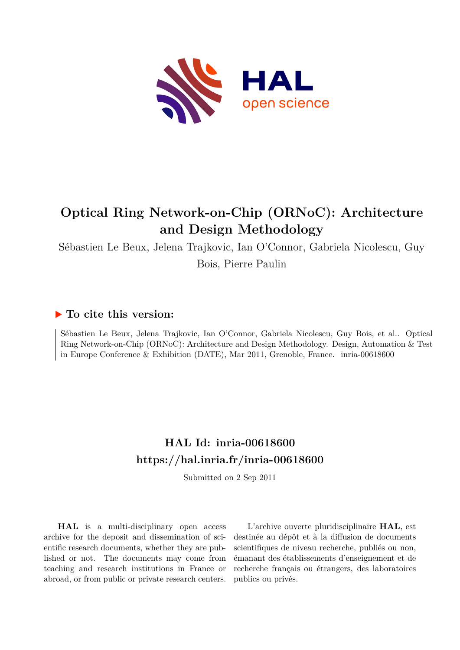

## **Optical Ring Network-on-Chip (ORNoC): Architecture and Design Methodology**

Sébastien Le Beux, Jelena Trajkovic, Ian O'Connor, Gabriela Nicolescu, Guy

Bois, Pierre Paulin

### **To cite this version:**

Sébastien Le Beux, Jelena Trajkovic, Ian O'Connor, Gabriela Nicolescu, Guy Bois, et al.. Optical Ring Network-on-Chip (ORNoC): Architecture and Design Methodology. Design, Automation & Test in Europe Conference & Exhibition (DATE), Mar 2011, Grenoble, France. inria-00618600

## **HAL Id: inria-00618600 <https://hal.inria.fr/inria-00618600>**

Submitted on 2 Sep 2011

**HAL** is a multi-disciplinary open access archive for the deposit and dissemination of scientific research documents, whether they are published or not. The documents may come from teaching and research institutions in France or abroad, or from public or private research centers.

L'archive ouverte pluridisciplinaire **HAL**, est destinée au dépôt et à la diffusion de documents scientifiques de niveau recherche, publiés ou non, émanant des établissements d'enseignement et de recherche français ou étrangers, des laboratoires publics ou privés.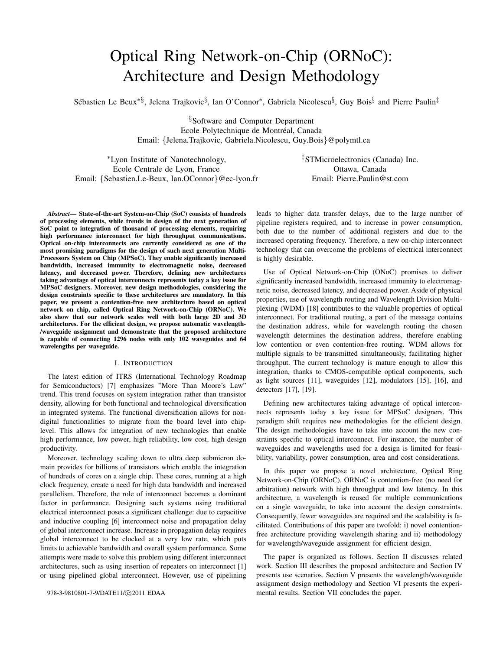# Optical Ring Network-on-Chip (ORNoC): Architecture and Design Methodology

Sébastien Le Beux\*§, Jelena Trajkovic§, Ian O'Connor\*, Gabriela Nicolescu§, Guy Bois§ and Pierre Paulin‡

§Software and Computer Department Ecole Polytechnique de Montréal, Canada Email: {Jelena.Trajkovic, Gabriela.Nicolescu, Guy.Bois}@polymtl.ca

<sup>∗</sup>Lyon Institute of Nanotechnology, Ecole Centrale de Lyon, France Email: {Sebastien.Le-Beux, Ian.OConnor}@ec-lyon.fr ‡STMicroelectronics (Canada) Inc. Ottawa, Canada Email: Pierre.Paulin@st.com

*Abstract***— State-of-the-art System-on-Chip (SoC) consists of hundreds of processing elements, while trends in design of the next generation of SoC point to integration of thousand of processing elements, requiring high performance interconnect for high throughput communications. Optical on-chip interconnects are currently considered as one of the most promising paradigms for the design of such next generation Multi-Processors System on Chip (MPSoC). They enable significantly increased bandwidth, increased immunity to electromagnetic noise, decreased latency, and decreased power. Therefore, defining new architectures taking advantage of optical interconnects represents today a key issue for MPSoC designers. Moreover, new design methodologies, considering the design constraints specific to these architectures are mandatory. In this paper, we present a contention-free new architecture based on optical network on chip, called Optical Ring Network-on-Chip (ORNoC). We also show that our network scales well with both large 2D and 3D architectures. For the efficient design, we propose automatic wavelength- /waveguide assignment and demonstrate that the proposed architecture is capable of connecting 1296 nodes with only 102 waveguides and 64 wavelengths per waveguide.**

#### I. INTRODUCTION

The latest edition of ITRS (International Technology Roadmap for Semiconductors) [7] emphasizes "More Than Moore's Law" trend. This trend focuses on system integration rather than transistor density, allowing for both functional and technological diversification in integrated systems. The functional diversification allows for nondigital functionalities to migrate from the board level into chiplevel. This allows for integration of new technologies that enable high performance, low power, high reliability, low cost, high design productivity.

Moreover, technology scaling down to ultra deep submicron domain provides for billions of transistors which enable the integration of hundreds of cores on a single chip. These cores, running at a high clock frequency, create a need for high data bandwidth and increased parallelism. Therefore, the role of interconnect becomes a dominant factor in performance. Designing such systems using traditional electrical interconnect poses a significant challenge: due to capacitive and inductive coupling [6] interconnect noise and propagation delay of global interconnect increase. Increase in propagation delay requires global interconnect to be clocked at a very low rate, which puts limits to achievable bandwidth and overall system performance. Some attempts were made to solve this problem using different interconnect architectures, such as using insertion of repeaters on interconnect [1] or using pipelined global interconnect. However, use of pipelining

leads to higher data transfer delays, due to the large number of pipeline registers required, and to increase in power consumption, both due to the number of additional registers and due to the increased operating frequency. Therefore, a new on-chip interconnect technology that can overcome the problems of electrical interconnect is highly desirable.

Use of Optical Network-on-Chip (ONoC) promises to deliver significantly increased bandwidth, increased immunity to electromagnetic noise, decreased latency, and decreased power. Aside of physical properties, use of wavelength routing and Wavelength Division Multiplexing (WDM) [18] contributes to the valuable properties of optical interconnect. For traditional routing, a part of the message contains the destination address, while for wavelength routing the chosen wavelength determines the destination address, therefore enabling low contention or even contention-free routing. WDM allows for multiple signals to be transmitted simultaneously, facilitating higher throughput. The current technology is mature enough to allow this integration, thanks to CMOS-compatible optical components, such as light sources [11], waveguides [12], modulators [15], [16], and detectors [17], [19].

Defining new architectures taking advantage of optical interconnects represents today a key issue for MPSoC designers. This paradigm shift requires new methodologies for the efficient design. The design methodologies have to take into account the new constraints specific to optical interconnect. For instance, the number of waveguides and wavelengths used for a design is limited for feasibility, variability, power consumption, area and cost considerations.

In this paper we propose a novel architecture, Optical Ring Network-on-Chip (ORNoC). ORNoC is contention-free (no need for arbitration) network with high throughput and low latency. In this architecture, a wavelength is reused for multiple communications on a single waveguide, to take into account the design constraints. Consequently, fewer waveguides are required and the scalability is facilitated. Contributions of this paper are twofold: i) novel contentionfree architecture providing wavelength sharing and ii) methodology for wavelength/waveguide assignment for efficient design.

The paper is organized as follows. Section II discusses related work. Section III describes the proposed architecture and Section IV presents use scenarios. Section V presents the wavelength/waveguide assignment design methodology and Section VI presents the experimental results. Section VII concludes the paper.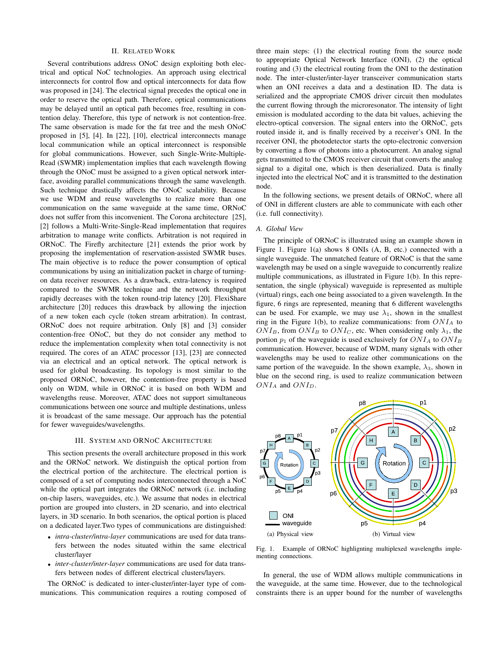#### II. RELATED WORK

Several contributions address ONoC design exploiting both electrical and optical NoC technologies. An approach using electrical interconnects for control flow and optical interconnects for data flow was proposed in [24]. The electrical signal precedes the optical one in order to reserve the optical path. Therefore, optical communications may be delayed until an optical path becomes free, resulting in contention delay. Therefore, this type of network is not contention-free. The same observation is made for the fat tree and the mesh ONoC proposed in [5], [4]. In [22], [10], electrical interconnects manage local communication while an optical interconnect is responsible for global communications. However, such Single-Write-Multiple-Read (SWMR) implementation implies that each wavelength flowing through the ONoC must be assigned to a given optical network interface, avoiding parallel communications through the same wavelength. Such technique drastically affects the ONoC scalability. Because we use WDM and reuse wavelengths to realize more than one communication on the same waveguide at the same time, ORNoC does not suffer from this inconvenient. The Corona architecture [25], [2] follows a Multi-Write-Single-Read implementation that requires arbitration to manage write conflicts. Arbitration is not required in ORNoC. The Firefly architecture [21] extends the prior work by proposing the implementation of reservation-assisted SWMR buses. The main objective is to reduce the power consumption of optical communications by using an initialization packet in charge of turningon data receiver resources. As a drawback, extra-latency is required compared to the SWMR technique and the network throughput rapidly decreases with the token round-trip latency [20]. FlexiShare architecture [20] reduces this drawback by allowing the injection of a new token each cycle (token stream arbitration). In contrast, ORNoC does not require arbitration. Only [8] and [3] consider contention-free ONoC, but they do not consider any method to reduce the implementation complexity when total connectivity is not required. The cores of an ATAC processor [13], [23] are connected via an electrical and an optical network. The optical network is used for global broadcasting. Its topology is most similar to the proposed ORNoC, however, the contention-free property is based only on WDM, while in ORNoC it is based on both WDM and wavelengths reuse. Moreover, ATAC does not support simultaneous communications between one source and multiple destinations, unless it is broadcast of the same message. Our approach has the potential for fewer waveguides/wavelengths.

#### III. SYSTEM AND ORNOC ARCHITECTURE

This section presents the overall architecture proposed in this work and the ORNoC network. We distinguish the optical portion from the electrical portion of the architecture. The electrical portion is composed of a set of computing nodes interconnected through a NoC while the optical part integrates the ORNoC network (i.e. including on-chip lasers, waveguides, etc.). We assume that nodes in electrical portion are grouped into clusters, in 2D scenario, and into electrical layers, in 3D scenario. In both scenarios, the optical portion is placed on a dedicated layer.Two types of communications are distinguished:

- *intra-cluster/intra-layer* communications are used for data transfers between the nodes situated within the same electrical cluster/layer
- *inter-cluster/inter-layer* communications are used for data transfers between nodes of different electrical clusters/layers.

The ORNoC is dedicated to inter-cluster/inter-layer type of communications. This communication requires a routing composed of

three main steps: (1) the electrical routing from the source node to appropriate Optical Network Interface (ONI), (2) the optical routing and (3) the electrical routing from the ONI to the destination node. The inter-cluster/inter-layer transceiver communication starts when an ONI receives a data and a destination ID. The data is serialized and the appropriate CMOS driver circuit then modulates the current flowing through the microresonator. The intensity of light emission is modulated according to the data bit values, achieving the electro-optical conversion. The signal enters into the ORNoC, gets routed inside it, and is finally received by a receiver's ONI. In the receiver ONI, the photodetector starts the opto-electronic conversion by converting a flow of photons into a photocurrent. An analog signal gets transmitted to the CMOS receiver circuit that converts the analog signal to a digital one, which is then deserialized. Data is finally injected into the electrical NoC and it is transmitted to the destination node.

In the following sections, we present details of ORNoC, where all of ONI in different clusters are able to communicate with each other (i.e. full connectivity).

#### *A. Global View*

The principle of ORNoC is illustrated using an example shown in Figure 1. Figure 1(a) shows 8 ONIs (A, B, etc.) connected with a single waveguide. The unmatched feature of ORNoC is that the same wavelength may be used on a single waveguide to concurrently realize multiple communications, as illustrated in Figure 1(b). In this representation, the single (physical) waveguide is represented as multiple (virtual) rings, each one being associated to a given wavelength. In the figure, 6 rings are represented, meaning that 6 different wavelengths can be used. For example, we may use  $\lambda_1$ , shown in the smallest ring in the Figure 1(b), to realize communications: from  $ONI<sub>A</sub>$  to  $ONI<sub>B</sub>$ , from  $ONI<sub>B</sub>$  to  $ONI<sub>C</sub>$ , etc. When considering only  $\lambda_1$ , the portion  $p_1$  of the waveguide is used exclusively for  $ONI_A$  to  $ONI_B$ communication. However, because of WDM, many signals with other wavelengths may be used to realize other communications on the same portion of the waveguide. In the shown example,  $\lambda_3$ , shown in blue on the second ring, is used to realize communication between  $ONI_A$  and  $ONI_D$ .



Fig. 1. Example of ORNoC highlignting multiplexed wavelengths implementing connections.

In general, the use of WDM allows multiple communications in the waveguide, at the same time. However, due to the technological constraints there is an upper bound for the number of wavelengths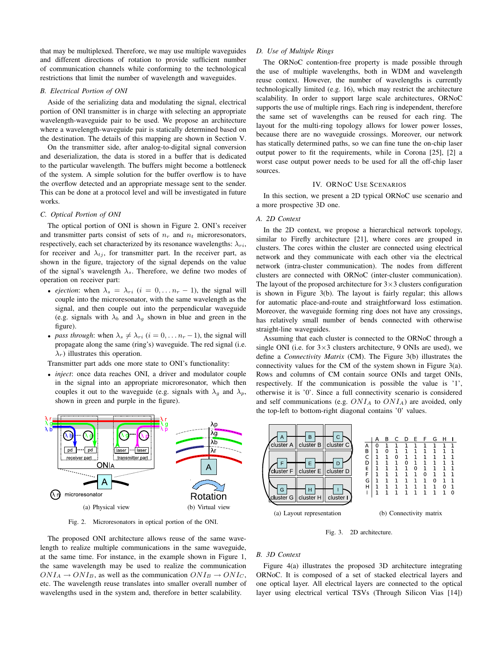that may be multiplexed. Therefore, we may use multiple waveguides and different directions of rotation to provide sufficient number of communication channels while conforming to the technological restrictions that limit the number of wavelength and waveguides.

#### *B. Electrical Portion of ONI*

Aside of the serializing data and modulating the signal, electrical portion of ONI transmitter is in charge with selecting an appropriate wavelength-waveguide pair to be used. We propose an architecture where a wavelength-waveguide pair is statically determined based on the destination. The details of this mapping are shown in Section V.

On the transmitter side, after analog-to-digital signal conversion and deserialization, the data is stored in a buffer that is dedicated to the particular wavelength. The buffers might become a bottleneck of the system. A simple solution for the buffer overflow is to have the overflow detected and an appropriate message sent to the sender. This can be done at a protocol level and will be investigated in future works.

#### *C. Optical Portion of ONI*

The optical portion of ONI is shown in Figure 2. ONI's receiver and transmitter parts consist of sets of  $n_r$  and  $n_t$  microresonators, respectively, each set characterized by its resonance wavelengths:  $\lambda_{ri}$ , for receiver and  $\lambda_{tj}$ , for transmitter part. In the receiver part, as shown in the figure, trajectory of the signal depends on the value of the signal's wavelength  $\lambda_s$ . Therefore, we define two modes of operation on receiver part:

- *ejection*: when  $\lambda_s = \lambda_{ri}$  ( $i = 0, \ldots n_r 1$ ), the signal will couple into the microresonator, with the same wavelength as the signal, and then couple out into the perpendicular waveguide (e.g. signals with  $\lambda_b$  and  $\lambda_g$  shown in blue and green in the figure).
- *pass through*: when  $\lambda_s \neq \lambda_{ri}$  ( $i = 0, \ldots n_r 1$ ), the signal will propagate along the same (ring's) waveguide. The red signal (i.e.  $\lambda_r$ ) illustrates this operation.

Transmitter part adds one more state to ONI's functionality:

• *inject*: once data reaches ONI, a driver and modulator couple in the signal into an appropriate microresonator, which then couples it out to the waveguide (e.g. signals with  $\lambda_q$  and  $\lambda_p$ , shown in green and purple in the figure).



Fig. 2. Microresonators in optical portion of the ONI.

The proposed ONI architecture allows reuse of the same wavelength to realize multiple communications in the same waveguide, at the same time. For instance, in the example shown in Figure 1, the same wavelength may be used to realize the communication  $ONI_A \rightarrow ONI_B$ , as well as the communication  $ONI_B \rightarrow ONI_C$ , etc. The wavelength reuse translates into smaller overall number of wavelengths used in the system and, therefore in better scalability.

#### *D. Use of Multiple Rings*

The ORNoC contention-free property is made possible through the use of multiple wavelengths, both in WDM and wavelength reuse context. However, the number of wavelengths is currently technologically limited (e.g. 16), which may restrict the architecture scalability. In order to support large scale architectures, ORNoC supports the use of multiple rings. Each ring is independent, therefore the same set of wavelengths can be reused for each ring. The layout for the multi-ring topology allows for lower power losses, because there are no waveguide crossings. Moreover, our network has statically determined paths, so we can fine tune the on-chip laser output power to fit the requirements, while in Corona [25], [2] a worst case output power needs to be used for all the off-chip laser sources.

#### IV. ORNOC USE SCENARIOS

In this section, we present a 2D typical ORNoC use scenario and a more prospective 3D one.

#### *A. 2D Context*

In the 2D context, we propose a hierarchical network topology, similar to Firefly architecture [21], where cores are grouped in clusters. The cores within the cluster are connected using electrical network and they communicate with each other via the electrical network (intra-cluster communication). The nodes from different clusters are connected with ORNoC (inter-cluster communication). The layout of the proposed architecture for  $3 \times 3$  clusters configuration is shown in Figure 3(b). The layout is fairly regular; this allows for automatic place-and-route and straightforward loss estimation. Moreover, the waveguide forming ring does not have any crossings, has relatively small number of bends connected with otherwise straight-line waveguides.

Assuming that each cluster is connected to the ORNoC through a single ONI (i.e. for  $3\times3$  clusters architecture, 9 ONIs are used), we define a *Connectivity Matrix* (CM). The Figure 3(b) illustrates the connectivity values for the CM of the system shown in Figure 3(a). Rows and columns of CM contain source ONIs and target ONIs, respectively. If the communication is possible the value is '1', otherwise it is '0'. Since a full connectivity scenario is considered and self communications (e.g.  $ONI<sub>A</sub>$  to  $ONI<sub>A</sub>$ ) are avoided, only the top-left to bottom-right diagonal contains '0' values.



Fig. 3. 2D architecture.

#### *B. 3D Context*

Figure 4(a) illustrates the proposed 3D architecture integrating ORNoC. It is composed of a set of stacked electrical layers and one optical layer. All electrical layers are connected to the optical layer using electrical vertical TSVs (Through Silicon Vias [14])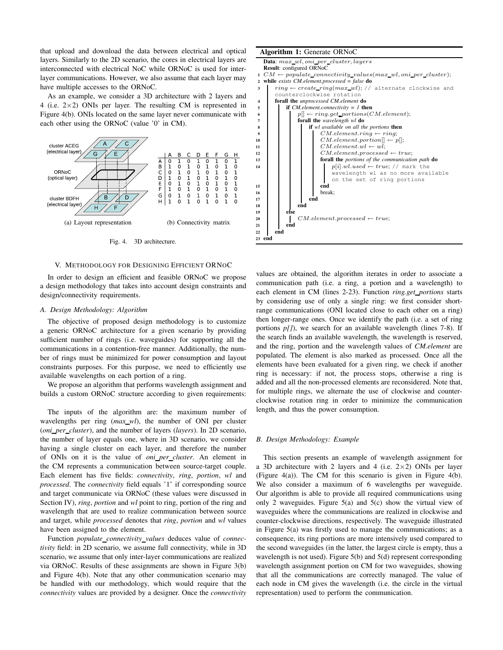that upload and download the data between electrical and optical layers. Similarly to the 2D scenario, the cores in electrical layers are interconnected with electrical NoC while ORNoC is used for interlayer communications. However, we also assume that each layer may have multiple accesses to the ORNoC.

As an example, we consider a 3D architecture with 2 layers and 4 (i.e.  $2\times2$ ) ONIs per layer. The resulting CM is represented in Figure 4(b). ONIs located on the same layer never communicate with each other using the ORNoC (value '0' in CM).



Fig. 4. 3D architecture.

#### V. METHODOLOGY FOR DESIGNING EFFICIENT ORNOC

In order to design an efficient and feasible ORNoC we propose a design methodology that takes into account design constraints and design/connectivity requirements.

#### *A. Design Methodology: Algorithm*

The objective of proposed design methodology is to customize a generic ORNoC architecture for a given scenario by providing sufficient number of rings (i.e. waveguides) for supporting all the communications in a contention-free manner. Additionally, the number of rings must be minimized for power consumption and layout constraints purposes. For this purpose, we need to efficiently use available wavelengths on each portion of a ring.

We propose an algorithm that performs wavelength assignment and builds a custom ORNoC structure according to given requirements:

The inputs of the algorithm are: the maximum number of wavelengths per ring (*max wl*), the number of ONI per cluster (*oni per cluster*), and the number of layers (*layers*). In 2D scenario, the number of layer equals one, where in 3D scenario, we consider having a single cluster on each layer, and therefore the number of ONIs on it is the value of *oni per cluster*. An element in the CM represents a communication between source-target couple. Each element has five fields: *connectivity*, *ring*, *portion*, *wl* and *processed*. The *connectivity* field equals '1' if corresponding source and target communicate via ORNoC (these values were discussed in Section IV), *ring*, *portion* and *wl* point to ring, portion of the ring and wavelength that are used to realize communication between source and target, while *processed* denotes that *ring*, *portion* and *wl* values have been assigned to the element.

Function *populate connectivity values* deduces value of *connectivity* field: in 2D scenario, we assume full connectivity, while in 3D scenario, we assume that only inter-layer communications are realized via ORNoC. Results of these assignments are shown in Figure 3(b) and Figure 4(b). Note that any other communication scenario may be handled with our methodology, which would require that the *connectivity* values are provided by a designer. Once the *connectivity*

#### **Algorithm 1:** Generate ORNoC



values are obtained, the algorithm iterates in order to associate a communication path (i.e. a ring, a portion and a wavelength) to each element in CM (lines 2-23). Function *ring.get portions* starts by considering use of only a single ring: we first consider shortrange communications (ONI located close to each other on a ring) then longer-range ones. Once we identify the path (i.e. a set of ring portions *p[]*), we search for an available wavelength (lines 7-8). If the search finds an available wavelength, the wavelength is reserved, and the ring, portion and the wavelength values of *CM.element* are populated. The element is also marked as processed. Once all the elements have been evaluated for a given ring, we check if another ring is necessary: if not, the process stops, otherwise a ring is added and all the non-processed elements are reconsidered. Note that, for multiple rings, we alternate the use of clockwise and counterclockwise rotation ring in order to minimize the communication length, and thus the power consumption.

#### *B. Design Methodology: Example*

This section presents an example of wavelength assignment for a 3D architecture with 2 layers and 4 (i.e.  $2 \times 2$ ) ONIs per layer (Figure 4(a)). The CM for this scenario is given in Figure 4(b). We also consider a maximum of 6 wavelengths per waveguide. Our algorithm is able to provide all required communications using only 2 waveguides. Figure 5(a) and 5(c) show the virtual view of waveguides where the communications are realized in clockwise and counter-clockwise directions, respectively. The waveguide illustrated in Figure 5(a) was firstly used to manage the communications; as a consequence, its ring portions are more intensively used compared to the second waveguides (in the latter, the largest circle is empty, thus a wavelength is not used). Figure 5(b) and 5(d) represent corresponding wavelength assignment portion on CM for two waveguides, showing that all the communications are correctly managed. The value of each node in CM gives the wavelength (i.e. the circle in the virtual representation) used to perform the communication.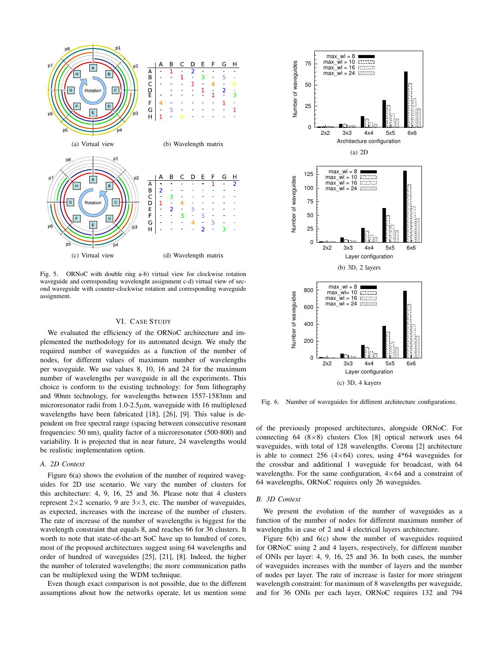

Fig. 5. ORNoC with double ring a-b) virtual view for clockwise rotation waveguide and corresponding wavelenght assignment c-d) virtual view of second waveguide with counter-clockwise rotation and corresponding waveguide assignment.

#### VI. CASE STUDY

We evaluated the efficiency of the ORNoC architecture and implemented the methodology for its automated design. We study the required number of waveguides as a function of the number of nodes, for different values of maximum number of wavelengths per waveguide. We use values 8, 10, 16 and 24 for the maximum number of wavelengths per waveguide in all the experiments. This choice is conform to the existing technology: for 5nm lithography and 90nm technology, for wavelengths between 1557-1583nm and microresonator radii from 1.0-2.5 $\mu$ m, waveguide with 16 multiplexed wavelengths have been fabricated [18], [26], [9]. This value is dependent on free spectral range (spacing between consecutive resonant frequencies: 50 nm), quality factor of a microresonator (500-800) and variability. It is projected that in near future, 24 wavelengths would be realistic implementation option.

#### *A. 2D Context*

Figure 6(a) shows the evolution of the number of required waveguides for 2D use scenario. We vary the number of clusters for this architecture: 4, 9, 16, 25 and 36. Please note that 4 clusters represent  $2\times 2$  scenario, 9 are  $3\times 3$ , etc. The number of waveguides, as expected, increases with the increase of the number of clusters. The rate of increase of the number of wavelengths is biggest for the wavelength constraint that equals 8, and reaches 66 for 36 clusters. It worth to note that state-of-the-art SoC have up to hundred of cores, most of the proposed architectures suggest using 64 wavelengths and order of hundred of waveguides [25], [21], [8]. Indeed, the higher the number of tolerated wavelengths; the more communication paths can be multiplexed using the WDM technique.

Even though exact comparison is not possible, due to the different assumptions about how the networks operate, let us mention some



Fig. 6. Number of waveguides for different architecture configurations.

of the previously proposed architectures, alongside ORNoC. For connecting  $64$   $(8\times8)$  clusters Clos [8] optical network uses  $64$ waveguides, with total of 128 wavelengths. Corona [2] architecture is able to connect 256 ( $4\times64$ ) cores, using  $4*64$  waveguides for the crossbar and additional 1 waveguide for broadcast, with 64 wavelengths. For the same configuration,  $4 \times 64$  and a constraint of 64 wavelengths, ORNoC requires only 26 waveguides.

#### *B. 3D Context*

We present the evolution of the number of waveguides as a function of the number of nodes for different maximum number of wavelengths in case of 2 and 4 electrical layers architecture.

Figure 6(b) and 6(c) show the number of waveguides required for ORNoC using 2 and 4 layers, respectively, for different number of ONIs per layer: 4, 9, 16, 25 and 36. In both cases, the number of waveguides increases with the number of layers and the number of nodes per layer. The rate of increase is faster for more stringent wavelength constraint: for maximum of 8 wavelengths per waveguide, and for 36 ONIs per each layer, ORNoC requires 132 and 794